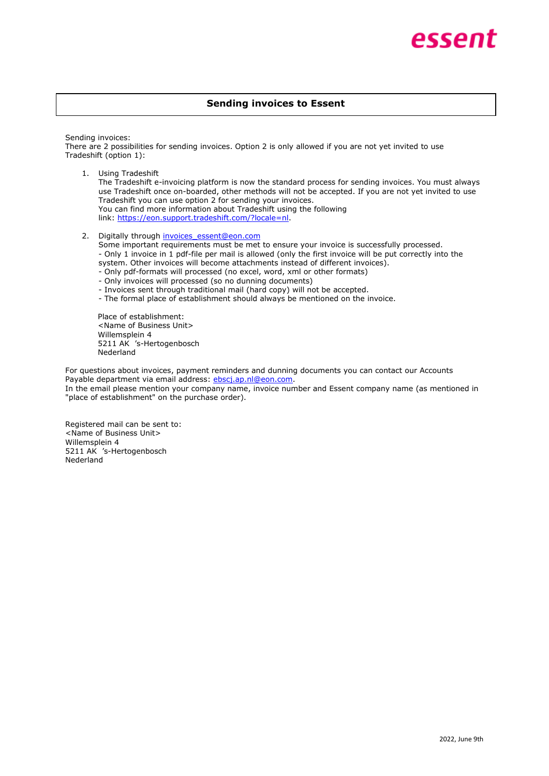## **Sending invoices to Essent**

Sending invoices:

There are 2 possibilities for sending invoices. Option 2 is only allowed if you are not yet invited to use Tradeshift (option 1):

1. Using Tradeshift

The Tradeshift e-invoicing platform is now the standard process for sending invoices. You must always use Tradeshift once on-boarded, other methods will not be accepted. If you are not yet invited to use Tradeshift you can use option 2 for sending your invoices. You can find more information about Tradeshift using the following link: [https://eon.support.tradeshift.com/?locale=nl.](https://eon.support.tradeshift.com/?locale=nl)

2. Digitally through invoices essent@eon.com

Some important requirements must be met to ensure your invoice is successfully processed. - Only 1 invoice in 1 pdf-file per mail is allowed (only the first invoice will be put correctly into the system. Other invoices will become attachments instead of different invoices).

- Only pdf-formats will processed (no excel, word, xml or other formats)
- Only invoices will processed (so no dunning documents)
- Invoices sent through traditional mail (hard copy) will not be accepted.
- The formal place of establishment should always be mentioned on the invoice.

Place of establishment: <Name of Business Unit> Willemsplein 4 5211 AK 's-Hertogenbosch Nederland

For questions about invoices, payment reminders and dunning documents you can contact our Accounts Payable department via email address: [ebscj.ap.nl@eon.com.](mailto:ebscj.ap.nl@eon.com)

In the email please mention your company name, invoice number and Essent company name (as mentioned in "place of establishment" on the purchase order).

Registered mail can be sent to: <Name of Business Unit> Willemsplein 4 5211 AK 's-Hertogenbosch Nederland